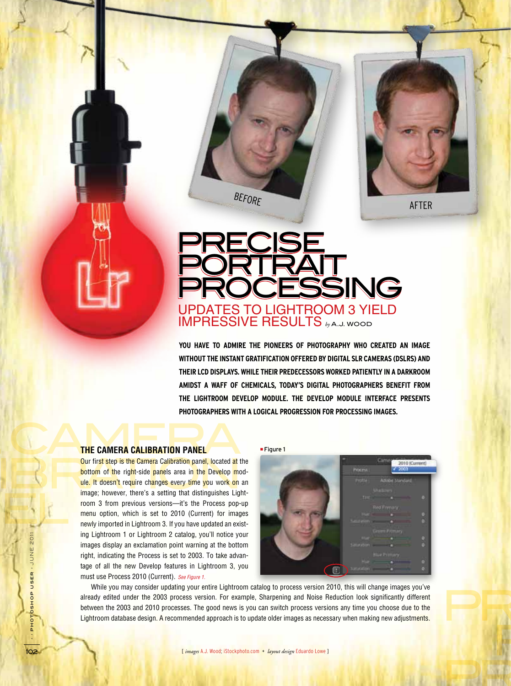

**AFTER** 

PRECISE

**PORTA** 

PROCESSING

## Updates to Lightroom 3 Yield Impressive Results *by* A.J. Wood Precise Precise PORTRAIT. Processing Processing PORTRAIT.

BEFORE

**You have to admire the pioneers of photography who created an image without the instant gratification offered by digital SLR cameras (DSLRs) and their LCD displays. While their predecessors worked patiently in a darkroom amidst a waff of chemicals, today's digital photographers benefit from the Lightroom Develop module. The Develop module interface presents photographers with a logical progression for processing images.**

# THE CAMERA CALIBRATION PANEL **THE CAMERA CALIBRATION PANEL**

Our first step is the Camera Calibration panel, located at the bottom of the right-side panels area in the Develop mode. It doesn't require changes every time you work on a image; however, there's a setting that distinguis Our first step is the Camera Calibration panel, located at the bottom of the right-side panels area in the Develop module. It doesn't require changes every time you work on an image; however, there's a setting that distinguishes Lightroom 3 from previous versions—it's the Process pop-up menu option, which is set to 2010 (Current) for images newly imported in Lightroom 3. If you have updated an existing Lightroom 1 or Lightroom 2 catalog, you'll notice your images display an exclamation point warning at the bottom right, indicating the Process is set to 2003. To take advantage of all the new Develop features in Lightroom 3, you must use Process 2010 (Current). See Figure 1.

■ Figure 1



While you may consider updating your entire Lightroom catalog to process version 2010, this will change images you've already edited under the 2003 process version. For example, Sharpening and Noise Reduction look significantly different between the 2003 and 2010 processes. The good news is you can switch process versions any time you choose due to the Lightroom database design. A recommended approach is to update older images as necessary when making new adjustments.

› › photoshop user › JUNE 2011

 $\frac{1}{2}$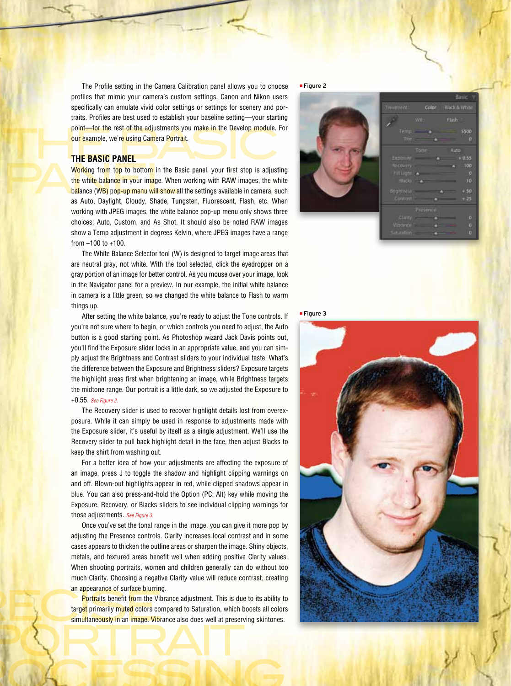point—for the rest of the adjustments you make in the Develop module. For<br>
our example, we're using Camera Portrait.<br>
THE BASIC PANEL The Profile setting in the Camera Calibration panel allows you to choose profiles that mimic your camera's custom settings. Canon and Nikon users specifically can emulate vivid color settings or settings for scenery and por traits. Profiles are best used to establish your baseline setting—your starting our example, we're using Camera Portrait.

### **THE BASIC PANEL**

Working from top to bottom in the Basic panel, your first stop is adjusting<br>the white balance in your image. When working with RAW images, the white<br>balance (WB) pop-up menu will show all the settings available in camera, the white balance in your image. When working with RAW images, the white balance (WB) pop-up menu will show all the settings available in camera, such as Auto, Daylight, Cloudy, Shade, Tungsten, Fluorescent, Flash, etc. When working with JPEG images, the white balance pop-up menu only shows three choices: Auto, Custom, and As Shot. It should also be noted RAW images show a Temp adjustment in degrees Kelvin, where JPEG images have a range from –100 to +100.

> The White Balance Selector tool (W) is designed to target image areas that are neutral gray, not white. With the tool selected, click the eyedropper on a gray portion of an image for better control. As you mouse over your image, look in the Navigator panel for a preview. In our example, the initial white balance in camera is a little green, so we changed the white balance to Flash to warm things up.

> After setting the white balance, you're ready to adjust the Tone controls. If you're not sure where to begin, or which controls you need to adjust, the Auto button is a good starting point. As Photoshop wizard Jack Davis points out, you'll find the Exposure slider locks in an appropriate value, and you can sim ply adjust the Brightness and Contrast sliders to your individual taste. What's the difference between the Exposure and Brightness sliders? Exposure targets the highlight areas first when brightening an image, while Brightness targets the midtone range. Our portrait is a little dark, so we adjusted the Exposure to +0.55. See Figure 2.

> The Recovery slider is used to recover highlight details lost from overex posure. While it can simply be used in response to adjustments made with the Exposure slider, it's useful by itself as a single adjustment. We'll use the Recovery slider to pull back highlight detail in the face, then adjust Blacks to keep the shirt from washing out.

> For a better idea of how your adjustments are affecting the exposure of an image, press J to toggle the shadow and highlight clipping warnings on and off. Blown-out highlights appear in red, while clipped shadows appear in blue. You can also press-and-hold the Option (PC: Alt) key while moving the Exposure, Recovery, or Blacks sliders to see individual clipping warnings for those adjustments. See Figure 3.

> Once you've set the tonal range in the image, you can give it more pop by adjusting the Presence controls. Clarity increases local contrast and in some cases appears to thicken the outline areas or sharpen the image. Shiny objects, metals, and textured areas benefit well when adding positive Clarity values. When shooting portraits, women and children generally can do without too much Clarity. Choosing a negative Clarity value will reduce contrast, creating an appearance of surface blurring.

an appearance of surface blurring<br>Portraits benefit from the Vib<br>target primarily muted colors con<br>Simultaneously in an image. Vibra PORTRAIT Portraits benefit from the Vibrance adjustment. This is due to its ability to target primarily muted colors compared to Saturation, which boosts all colors simultaneously in an image. Vibrance also does well at preserving skintones.

**IOCESSING** 





■ Figure 3



103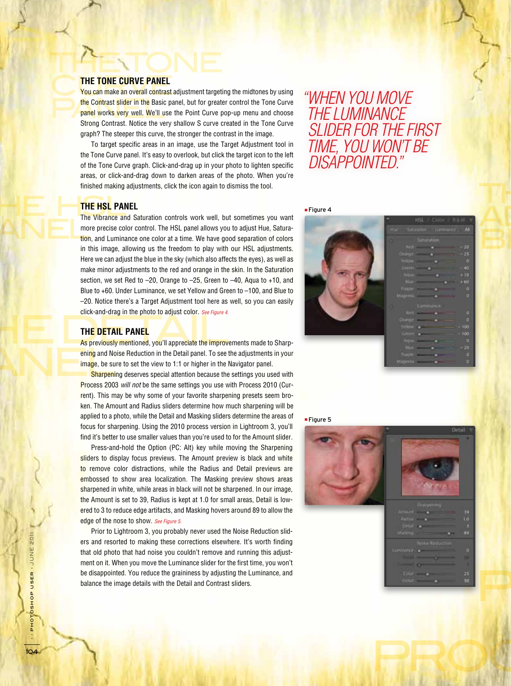# THE TONE **THE TONE CURVE PANEL**

THE TONE CURVE PANEL<br>You can make an overall contrast adjustment targeting the midtones by using the Contrast slider in the Basic panel, but for greater control the Tone Curve<br>panel works very well. We'll use the Point Curve pop-up menu and choose<br>strong Contrast Nation the very shallow S gung greated in the Tone Curv panel works very well. We'll use the Point Curve pop-up menu and choose Strong Contrast. Notice the very shallow S curve created in the Tone Curve graph? The steeper this curve, the stronger the contrast in the image.

> To target specific areas in an image, use the Target Adjustment tool in the Tone Curve panel. It's easy to overlook, but click the target icon to the left of the Tone Curve graph. Click-and-drag up in your photo to lighten specific areas, or click-and-drag down to darken areas of the photo. When you're finished making adjustments, click the icon again to dismiss the tool.

"When you move the Luminance slider for the first time, you won't be disappointed."

### THE HSL PAN THE HSL PAN **THE HSL PANEL**

ANEL<sup>ING</sup> The Vibrance and Saturation controls work well, but sometimes you want more precise color control. The HSL panel allows you to adjust Hue, Saturation, and Luminance one color at a time. We have good separation of colors in this image, allowing us the freedom to play with our HSL adjustments. Here we can adjust the blue in the sky (which also affects the eyes), as well as make minor adjustments to the red and orange in the skin. In the Saturation section, we set Red to –20, Orange to –25, Green to –40, Aqua to +10, and Blue to +60. Under Luminance, we set Yellow and Green to –100, and Blue to –20. Notice there's a Target Adjustment tool here as well, so you can easily click-and-drag in the photo to adjust color. See Figure 4.

### **THE DETAIL PANEL**

THE DETAIL PANEL<br>As previously mentioned, you'll appreciate the improvements made to Sharp-Expressed.<br>
Ening and No<br>
Sharpenin ening and Noise Reduction in the Detail panel. To see the adjustments in your image, be sure to set the view to 1:1 or higher in the Navigator panel.

Sharpening deserves special attention because the settings you used with Process 2003 will not be the same settings you use with Process 2010 (Current). This may be why some of your favorite sharpening presets seem broken. The Amount and Radius sliders determine how much sharpening will be applied to a photo, while the Detail and Masking sliders determine the areas of focus for sharpening. Using the 2010 process version in Lightroom 3, you'll find it's better to use smaller values than you're used to for the Amount slider.

Press-and-hold the Option (PC: Alt) key while moving the Sharpening sliders to display focus previews. The Amount preview is black and white to remove color distractions, while the Radius and Detail previews are embossed to show area localization. The Masking preview shows areas sharpened in white, while areas in black will not be sharpened. In our image, the Amount is set to 39, Radius is kept at 1.0 for small areas, Detail is lowered to 3 to reduce edge artifacts, and Masking hovers around 89 to allow the edge of the nose to show. See Figure 5.

Prior to Lightroom 3, you probably never used the Noise Reduction sliders and resorted to making these corrections elsewhere. It's worth finding that old photo that had noise you couldn't remove and running this adjustment on it. When you move the Luminance slider for the first time, you won't be disappointed. You reduce the graininess by adjusting the Luminance, and balance the image details with the Detail and Contrast sliders.







PRECISE

PROC

PORTRAIT

› › photoshop user › JUNE 2011

PHOTOSHOP USER > JUNE 2011